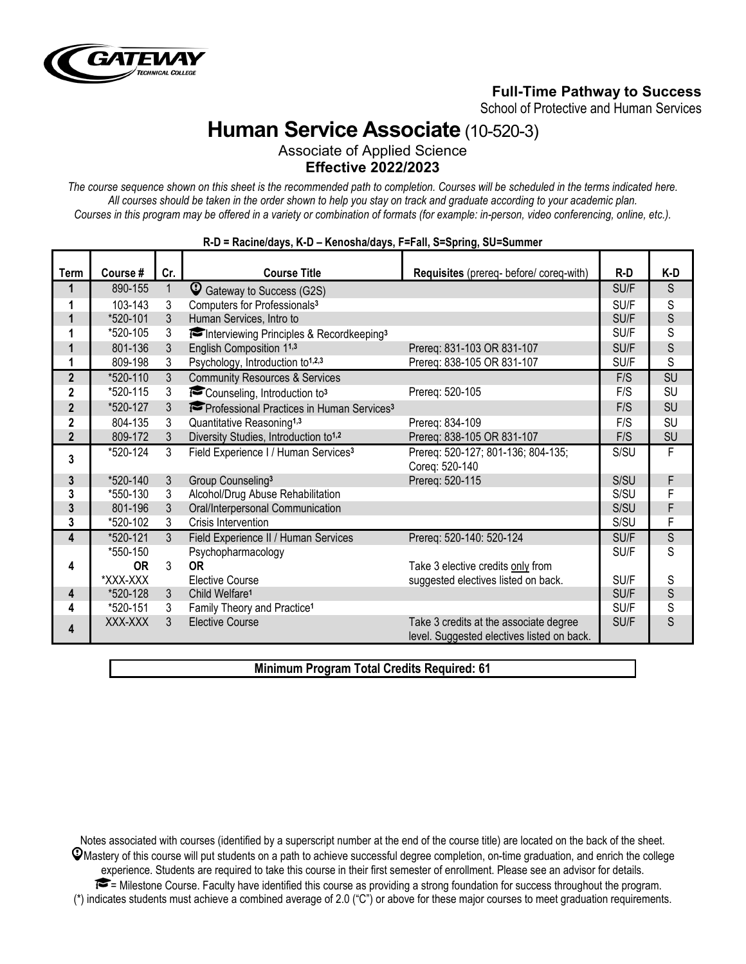

## **Full-Time Pathway to Success**

School of Protective and Human Services

# **Human Service Associate** (10-520-3)

Associate of Applied Science **Effective 2022/2023**

*The course sequence shown on this sheet is the recommended path to completion. Courses will be scheduled in the terms indicated here. All courses should be taken in the order shown to help you stay on track and graduate according to your academic plan. Courses in this program may be offered in a variety or combination of formats (for example: in-person, video conferencing, online, etc.).*

| <b>Term</b>                | Course #  | Cr.            | <b>Course Title</b>                                   | Requisites (prereq- before/ coreq-with)                                              | $R-D$ | K-D |
|----------------------------|-----------|----------------|-------------------------------------------------------|--------------------------------------------------------------------------------------|-------|-----|
| 1                          | 890-155   | 1              | C Gateway to Success (G2S)                            |                                                                                      | SU/F  | S   |
| 1                          | 103-143   | 3              | Computers for Professionals <sup>3</sup>              |                                                                                      | SU/F  | S   |
| 1                          | *520-101  | 3              | Human Services, Intro to                              |                                                                                      | SU/F  | S   |
| 1                          | *520-105  | 3              | Interviewing Principles & Recordkeeping <sup>3</sup>  |                                                                                      | SU/F  | S   |
| 1                          | 801-136   | 3              | English Composition 11,3                              | Prereq: 831-103 OR 831-107                                                           | SU/F  | S   |
| 1                          | 809-198   | 3              | Psychology, Introduction to <sup>1,2,3</sup>          | Prereq: 838-105 OR 831-107                                                           | SU/F  | S   |
| $\overline{2}$             | *520-110  | 3              | <b>Community Resources &amp; Services</b>             |                                                                                      | F/S   | SU  |
| $\overline{2}$             | *520-115  | 3              | Counseling, Introduction to3                          | Prereq: 520-105                                                                      | F/S   | SU  |
| $\overline{2}$             | *520-127  | 3              | Professional Practices in Human Services <sup>3</sup> |                                                                                      | F/S   | SU  |
| $\overline{2}$             | 804-135   | 3              | Quantitative Reasoning <sup>1,3</sup>                 | Prereg: 834-109                                                                      | F/S   | SU  |
| $\boldsymbol{\mathcal{P}}$ | 809-172   | 3              | Diversity Studies, Introduction to <sup>1,2</sup>     | Prereq: 838-105 OR 831-107                                                           | F/S   | SU  |
| 3                          | *520-124  | 3              | Field Experience I / Human Services <sup>3</sup>      | Prereq: 520-127; 801-136; 804-135;<br>Coreq: 520-140                                 | S/SU  | F   |
| 3                          | *520-140  | $\mathfrak{Z}$ | Group Counseling <sup>3</sup>                         | Prereq: 520-115                                                                      | S/SU  | F   |
| 3                          | *550-130  | 3              | Alcohol/Drug Abuse Rehabilitation                     |                                                                                      | S/SU  | F   |
| 3                          | 801-196   | 3              | Oral/Interpersonal Communication                      |                                                                                      | S/SU  | F   |
| 3                          | *520-102  | 3              | Crisis Intervention                                   |                                                                                      | S/SU  | F   |
| 4                          | *520-121  | $\mathcal{S}$  | Field Experience II / Human Services                  | Prereq: 520-140: 520-124                                                             | SU/F  | S   |
|                            | *550-150  |                | Psychopharmacology                                    |                                                                                      | SU/F  | S   |
| 4                          | <b>OR</b> | 3              | <b>OR</b>                                             | Take 3 elective credits only from                                                    |       |     |
|                            | *XXX-XXX  |                | <b>Elective Course</b>                                | suggested electives listed on back.                                                  | SU/F  | S   |
| 4                          | *520-128  | 3              | Child Welfare <sup>1</sup>                            |                                                                                      | SU/F  | S   |
| 4                          | *520-151  | 3              | Family Theory and Practice <sup>1</sup>               |                                                                                      | SU/F  | S   |
| 4                          | XXX-XXX   | 3              | <b>Elective Course</b>                                | Take 3 credits at the associate degree<br>level. Suggested electives listed on back. | SU/F  | S   |

#### **R-D = Racine/days, K-D – Kenosha/days, F=Fall, S=Spring, SU=Summer**

**Minimum Program Total Credits Required: 61**

Notes associated with courses (identified by a superscript number at the end of the course title) are located on the back of the sheet.  $\mathcal Q$ Mastery of this course will put students on a path to achieve successful degree completion, on-time graduation, and enrich the college experience. Students are required to take this course in their first semester of enrollment. Please see an advisor for details. = Milestone Course. Faculty have identified this course as providing a strong foundation for success throughout the program. (\*) indicates students must achieve a combined average of 2.0 ("C") or above for these major courses to meet graduation requirements.